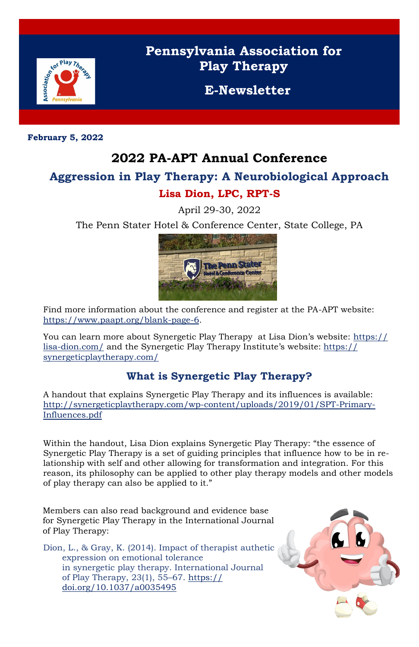

## **Pennsylvania Association for Play Therapy**

**E-Newsletter**

**February 5, 2022**

## **2022 PA-APT Annual Conference**

# **Aggression in Play Therapy: A Neurobiological Approach**

### **Lisa Dion, LPC, RPT-S**

April 29-30, 2022

The Penn Stater Hotel & Conference Center, State College, PA



You can learn more about Synergetic Play Therapy at Lisa Dion's website: [https://](https://lisa-dion.com/) [lisa-dion.com/](https://lisa-dion.com/) and the Synergetic Play Therapy Institute's website: [https://](https://synergeticplaytherapy.com/) [synergeticplaytherapy.com/](https://synergeticplaytherapy.com/)

Find more information about the conference and register at the PA-APT website: [https://www.paapt.org/blank-page-6.](https://www.paapt.org/blank-page-6) 

## **What is Synergetic Play Therapy?**

A handout that explains Synergetic Play Therapy and its influences is available: [http://synergeticplaytherapy.com/wp-content/uploads/2019/01/SPT-Primary-](http://synergeticplaytherapy.com/wp-content/uploads/2019/01/SPT-Primary-Influences.pdf)[Influences.pdf](http://synergeticplaytherapy.com/wp-content/uploads/2019/01/SPT-Primary-Influences.pdf)

Within the handout, Lisa Dion explains Synergetic Play Therapy: "the essence of Synergetic Play Therapy is a set of guiding principles that influence how to be in relationship with self and other allowing for transformation and integration. For this reason, its philosophy can be applied to other play therapy models and other models of play therapy can also be applied to it."

Members can also read background and evidence base for Synergetic Play Therapy in the International Journal of Play Therapy:

Dion, L., & Gray, K. (2014). Impact of therapist authetic expression on emotional tolerance in synergetic play therapy. International Journal of Play Therapy, 23(1), 55–67. [https://](https://doi.org/10.1037/a0035495) [doi.org/10.1037/a0035495](https://doi.org/10.1037/a0035495)